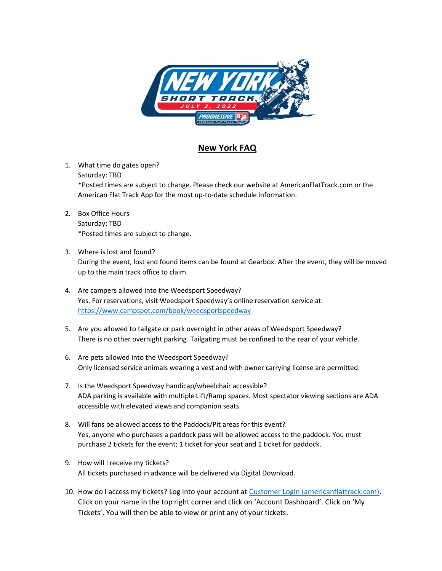

## **New York FAQ**

- 1. What time do gates open? Saturday: TBD \*Posted times are subject to change. Please check our website at AmericanFlatTrack.com or the American Flat Track App for the most up-to-date schedule information.
- 2. Box Office Hours Saturday: TBD \*Posted times are subject to change.
- 3. Where is lost and found? During the event, lost and found items can be found at Gearbox. After the event, they will be moved up to the main track office to claim.
- 4. Are campers allowed into the Weedsport Speedway? Yes. For reservations, visit Weedsport Speedway's online reservation service at: <https://www.campspot.com/book/weedsportspeedway>
- 5. Are you allowed to tailgate or park overnight in other areas of Weedsport Speedway? There is no other overnight parking. Tailgating must be confined to the rear of your vehicle.
- 6. Are pets allowed into the Weedsport Speedway? Only licensed service animals wearing a vest and with owner carrying license are permitted.
- 7. Is the Weedsport Speedway handicap/wheelchair accessible? ADA parking is available with multiple Lift/Ramp spaces. Most spectator viewing sections are ADA accessible with elevated views and companion seats.
- 8. Will fans be allowed access to the Paddock/Pit areas for this event? Yes, anyone who purchases a paddock pass will be allowed access to the paddock. You must purchase 2 tickets for the event; 1 ticket for your seat and 1 ticket for paddock.
- 9. How will I receive my tickets? All tickets purchased in advance will be delivered via Digital Download.
- 10. How do I access my tickets? Log into your account at [Customer Login \(americanflattrack.com\).](https://store.americanflattrack.com/customer/account/login) Click on your name in the top right corner and click on 'Account Dashboard'. Click on 'My Tickets'. You will then be able to view or print any of your tickets.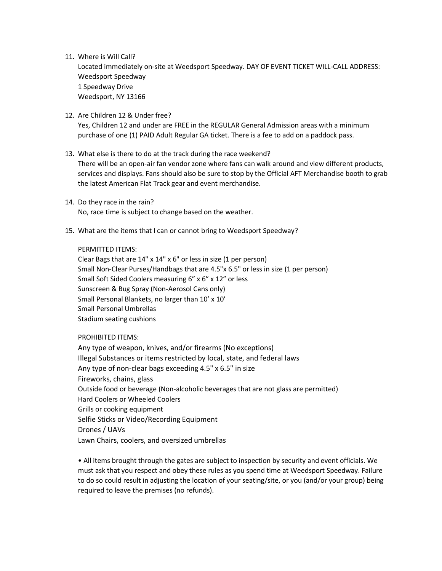## 11. Where is Will Call?

Located immediately on-site at Weedsport Speedway. DAY OF EVENT TICKET WILL-CALL ADDRESS: Weedsport Speedway 1 Speedway Drive Weedsport, NY 13166

12. Are Children 12 & Under free?

Yes, Children 12 and under are FREE in the REGULAR General Admission areas with a minimum purchase of one (1) PAID Adult Regular GA ticket. There is a fee to add on a paddock pass.

- 13. What else is there to do at the track during the race weekend? There will be an open-air fan vendor zone where fans can walk around and view different products, services and displays. Fans should also be sure to stop by the Official AFT Merchandise booth to grab the latest American Flat Track gear and event merchandise.
- 14. Do they race in the rain? No, race time is subject to change based on the weather.
- 15. What are the items that I can or cannot bring to Weedsport Speedway?

## PERMITTED ITEMS:

Clear Bags that are 14" x 14" x 6" or less in size (1 per person) Small Non-Clear Purses/Handbags that are 4.5"x 6.5" or less in size (1 per person) Small Soft Sided Coolers measuring 6" x 6" x 12" or less Sunscreen & Bug Spray (Non-Aerosol Cans only) Small Personal Blankets, no larger than 10' x 10' Small Personal Umbrellas Stadium seating cushions

PROHIBITED ITEMS:

Any type of weapon, knives, and/or firearms (No exceptions) Illegal Substances or items restricted by local, state, and federal laws Any type of non-clear bags exceeding 4.5" x 6.5" in size Fireworks, chains, glass Outside food or beverage (Non-alcoholic beverages that are not glass are permitted) Hard Coolers or Wheeled Coolers Grills or cooking equipment Selfie Sticks or Video/Recording Equipment Drones / UAVs Lawn Chairs, coolers, and oversized umbrellas

• All items brought through the gates are subject to inspection by security and event officials. We must ask that you respect and obey these rules as you spend time at Weedsport Speedway. Failure to do so could result in adjusting the location of your seating/site, or you (and/or your group) being required to leave the premises (no refunds).